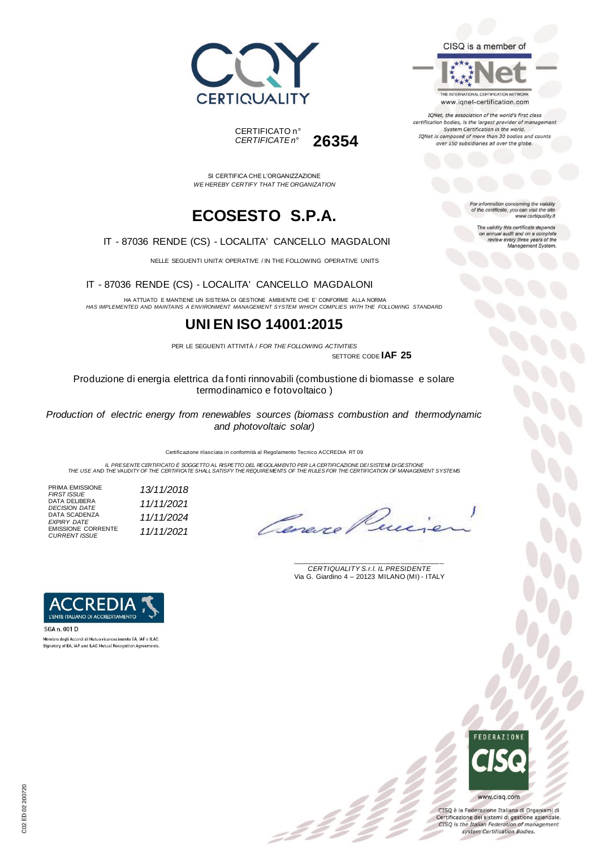



THE INTERNATIONAL CERTIFICATION NETWORK www.iqnet-certification.com

IQNet, the association of the world's first class certification bodies, is the largest provider of manageme. System Certification in the world. IQNet is composed of more than 30 bodies and counts over 150 subsidiaries all over the globe.

For information concerning the validity<br>of the certificate, you can visit the site

The validity this certificate depends on annual audit and on a complete<br>review every three years of the<br>Management System.

www.certiquality.it

SI CERTIFICA CHE L'ORGANIZZAZIONE *WE HEREBY CERTIFY THAT THE ORGANIZATION*

CERTIFICATO n°

*CERTIFICATE n°* **26354**

# **ECOSESTO S.P.A.**

#### IT - 87036 RENDE (CS) - LOCALITA' CANCELLO MAGDALONI

NELLE SEGUENTI UNITA' OPERATIVE / IN THE FOLLOWING OPERATIVE UNITS

IT - 87036 RENDE (CS) - LOCALITA' CANCELLO MAGDALONI

HA ATTUATO E MANTIENE UN SISTEMA DI GESTIONE AMBIENTE CHE E' CONFORME ALLA NORMA *HAS IMPLEMENTED AND MAINTAINS A ENVIRONMENT MANAGEMENT SYSTEM WHICH COMPLIES WITH THE FOLLOWING STANDARD*

### **UNI EN ISO 14001:2015**

PER LE SEGUENTI ATTIVITÀ / *FOR THE FOLLOWING ACTIVITIES*

SETTORE CODE **IAF 25**

Produzione di energia elettrica da fonti rinnovabili (combustione di biomasse e solare termodinamico e fotovoltaico )

*Production of electric energy from renewables sources (biomass combustion and thermodynamic and photovoltaic solar)*

Certificazione rilasciata in conformità al Regolamento Tecnico ACCREDIA RT 09

IL PRESENTE CERTIFICATO E SOGGETTO AL RISPETTO DEL REGOLAMENTO PER LA CERTIFICAZIONE DEI SISTEMI DI GESTIONE<br>THE USE AND THE VALIDITY OF THE CERTIFICATE SHALL SATISFY THE REQUIREMENTS OF THE RULES FOR THE CERTIFICATION OF

= 2 2<br>-

PRIMA EMISSIONE *FIRST ISSUE 13/11/2018* DATA DELIBERA *DECISION DATE 11/11/2021* DATA SCADENZA *EXPIRY DATE 11/11/2024* EMISSIONE CORRENTE *CURRENT ISSUE 11/11/2021*

Omere

\_\_\_\_\_\_\_\_\_\_\_\_\_\_\_\_\_\_\_\_\_\_\_\_\_\_\_\_\_\_\_\_\_\_\_\_\_\_\_ *CERTIQUALITY S.r.l. IL PRESIDENTE* Via G. Giardino 4 – 20123 MILANO (MI) - ITALY



Membro degli Accordi di Mutuo riconoscimento EA, IAF e ILAC Signatory of EA, IAF and ILAC Mutual Recognition Agreements



CISQ è la Federazione Italiana di Organismi di Certificazione dei sistemi di gestione aziendale. CISQ is the Italian Federation of management system Certification Bodies.